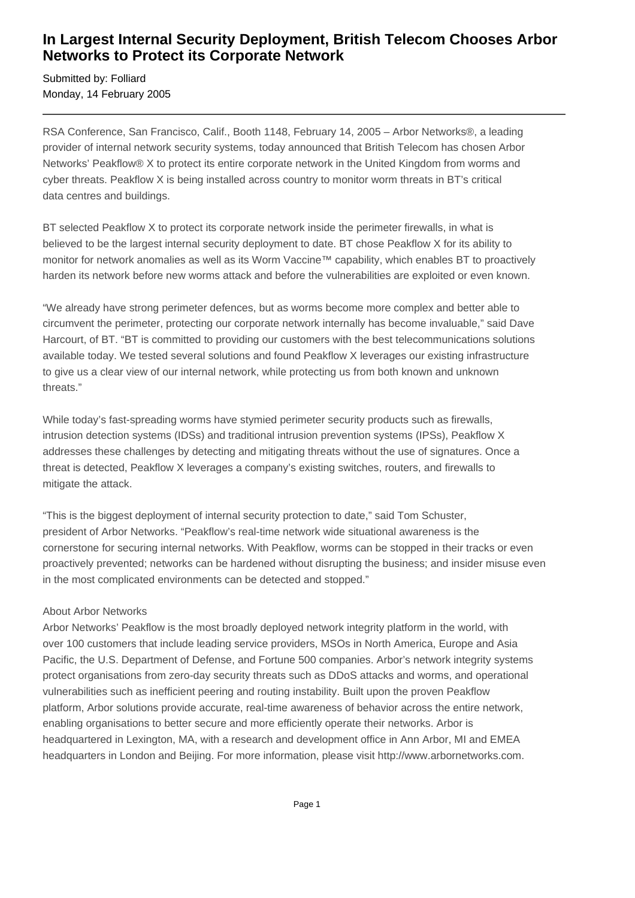## **In Largest Internal Security Deployment, British Telecom Chooses Arbor Networks to Protect its Corporate Network**

Submitted by: Folliard Monday, 14 February 2005

RSA Conference, San Francisco, Calif., Booth 1148, February 14, 2005 – Arbor Networks®, a leading provider of internal network security systems, today announced that British Telecom has chosen Arbor Networks' Peakflow® X to protect its entire corporate network in the United Kingdom from worms and cyber threats. Peakflow X is being installed across country to monitor worm threats in BT's critical data centres and buildings.

BT selected Peakflow X to protect its corporate network inside the perimeter firewalls, in what is believed to be the largest internal security deployment to date. BT chose Peakflow X for its ability to monitor for network anomalies as well as its Worm Vaccine™ capability, which enables BT to proactively harden its network before new worms attack and before the vulnerabilities are exploited or even known.

"We already have strong perimeter defences, but as worms become more complex and better able to circumvent the perimeter, protecting our corporate network internally has become invaluable," said Dave Harcourt, of BT. "BT is committed to providing our customers with the best telecommunications solutions available today. We tested several solutions and found Peakflow X leverages our existing infrastructure to give us a clear view of our internal network, while protecting us from both known and unknown threats."

While today's fast-spreading worms have stymied perimeter security products such as firewalls, intrusion detection systems (IDSs) and traditional intrusion prevention systems (IPSs), Peakflow X addresses these challenges by detecting and mitigating threats without the use of signatures. Once a threat is detected, Peakflow X leverages a company's existing switches, routers, and firewalls to mitigate the attack.

"This is the biggest deployment of internal security protection to date," said Tom Schuster, president of Arbor Networks. "Peakflow's real-time network wide situational awareness is the cornerstone for securing internal networks. With Peakflow, worms can be stopped in their tracks or even proactively prevented; networks can be hardened without disrupting the business; and insider misuse even in the most complicated environments can be detected and stopped."

## About Arbor Networks

Arbor Networks' Peakflow is the most broadly deployed network integrity platform in the world, with over 100 customers that include leading service providers, MSOs in North America, Europe and Asia Pacific, the U.S. Department of Defense, and Fortune 500 companies. Arbor's network integrity systems protect organisations from zero-day security threats such as DDoS attacks and worms, and operational vulnerabilities such as inefficient peering and routing instability. Built upon the proven Peakflow platform, Arbor solutions provide accurate, real-time awareness of behavior across the entire network, enabling organisations to better secure and more efficiently operate their networks. Arbor is headquartered in Lexington, MA, with a research and development office in Ann Arbor, MI and EMEA headquarters in London and Beijing. For more information, please visit http://www.arbornetworks.com.